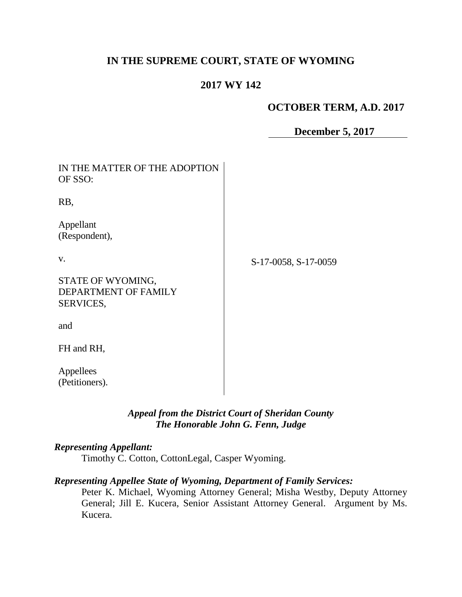# **IN THE SUPREME COURT, STATE OF WYOMING**

## **2017 WY 142**

## **OCTOBER TERM, A.D. 2017**

**December 5, 2017**

| IN THE MATTER OF THE ADOPTION<br>OF SSO:               |                      |
|--------------------------------------------------------|----------------------|
| RB,                                                    |                      |
| Appellant<br>(Respondent),                             |                      |
| V.                                                     | S-17-0058, S-17-0059 |
| STATE OF WYOMING,<br>DEPARTMENT OF FAMILY<br>SERVICES, |                      |
| and                                                    |                      |
| FH and RH,                                             |                      |
| Appellees<br>(Petitioners).                            |                      |

## *Appeal from the District Court of Sheridan County The Honorable John G. Fenn, Judge*

## *Representing Appellant:*

Timothy C. Cotton, CottonLegal, Casper Wyoming.

### *Representing Appellee State of Wyoming, Department of Family Services:*

Peter K. Michael, Wyoming Attorney General; Misha Westby, Deputy Attorney General; Jill E. Kucera, Senior Assistant Attorney General. Argument by Ms. Kucera.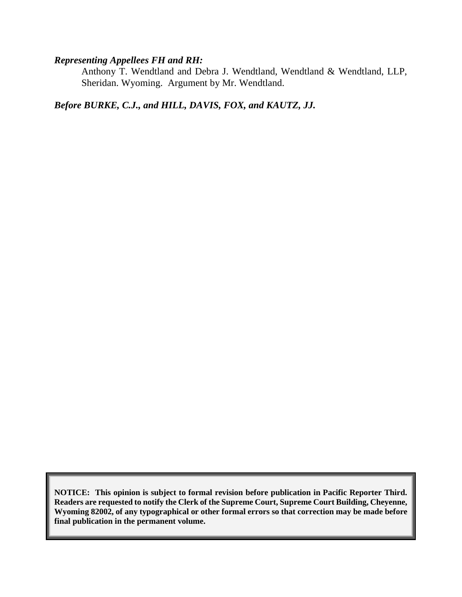## *Representing Appellees FH and RH:*

Anthony T. Wendtland and Debra J. Wendtland, Wendtland & Wendtland, LLP, Sheridan. Wyoming. Argument by Mr. Wendtland.

# *Before BURKE, C.J., and HILL, DAVIS, FOX, and KAUTZ, JJ.*

**NOTICE: This opinion is subject to formal revision before publication in Pacific Reporter Third. Readers are requested to notify the Clerk of the Supreme Court, Supreme Court Building, Cheyenne, Wyoming 82002, of any typographical or other formal errors so that correction may be made before final publication in the permanent volume.**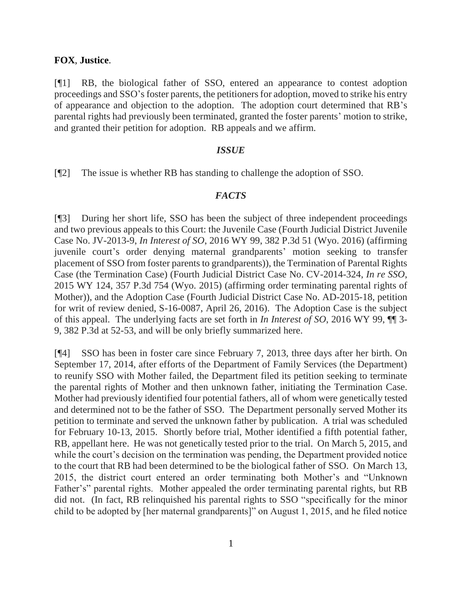### **FOX**, **Justice**.

[¶1] RB, the biological father of SSO, entered an appearance to contest adoption proceedings and SSO's foster parents, the petitioners for adoption, moved to strike his entry of appearance and objection to the adoption. The adoption court determined that RB's parental rights had previously been terminated, granted the foster parents' motion to strike, and granted their petition for adoption. RB appeals and we affirm.

### *ISSUE*

[¶2] The issue is whether RB has standing to challenge the adoption of SSO.

### *FACTS*

[¶3] During her short life, SSO has been the subject of three independent proceedings and two previous appeals to this Court: the Juvenile Case (Fourth Judicial District Juvenile Case No. JV-2013-9, *In Interest of SO*, 2016 WY 99, 382 P.3d 51 (Wyo. 2016) (affirming juvenile court's order denying maternal grandparents' motion seeking to transfer placement of SSO from foster parents to grandparents)), the Termination of Parental Rights Case (the Termination Case) (Fourth Judicial District Case No. CV-2014-324, *In re SSO*, 2015 WY 124, 357 P.3d 754 (Wyo. 2015) (affirming order terminating parental rights of Mother)), and the Adoption Case (Fourth Judicial District Case No. AD-2015-18, petition for writ of review denied, S-16-0087, April 26, 2016). The Adoption Case is the subject of this appeal. The underlying facts are set forth in *In Interest of SO*, 2016 WY 99, ¶¶ 3- 9, 382 P.3d at 52-53, and will be only briefly summarized here.

[¶4] SSO has been in foster care since February 7, 2013, three days after her birth. On September 17, 2014, after efforts of the Department of Family Services (the Department) to reunify SSO with Mother failed, the Department filed its petition seeking to terminate the parental rights of Mother and then unknown father, initiating the Termination Case. Mother had previously identified four potential fathers, all of whom were genetically tested and determined not to be the father of SSO. The Department personally served Mother its petition to terminate and served the unknown father by publication. A trial was scheduled for February 10-13, 2015. Shortly before trial, Mother identified a fifth potential father, RB, appellant here. He was not genetically tested prior to the trial. On March 5, 2015, and while the court's decision on the termination was pending, the Department provided notice to the court that RB had been determined to be the biological father of SSO. On March 13, 2015, the district court entered an order terminating both Mother's and "Unknown Father's" parental rights. Mother appealed the order terminating parental rights, but RB did not. (In fact, RB relinquished his parental rights to SSO "specifically for the minor child to be adopted by [her maternal grandparents]" on August 1, 2015, and he filed notice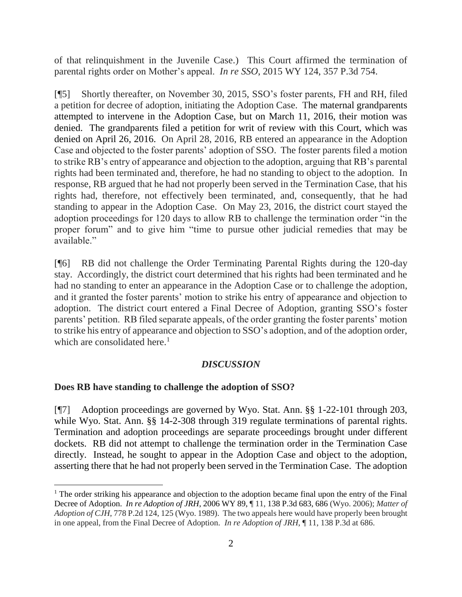of that relinquishment in the Juvenile Case.) This Court affirmed the termination of parental rights order on Mother's appeal. *In re SSO*, 2015 WY 124, 357 P.3d 754.

[¶5] Shortly thereafter, on November 30, 2015, SSO's foster parents, FH and RH, filed a petition for decree of adoption, initiating the Adoption Case. The maternal grandparents attempted to intervene in the Adoption Case, but on March 11, 2016, their motion was denied. The grandparents filed a petition for writ of review with this Court, which was denied on April 26, 2016. On April 28, 2016, RB entered an appearance in the Adoption Case and objected to the foster parents' adoption of SSO. The foster parents filed a motion to strike RB's entry of appearance and objection to the adoption, arguing that RB's parental rights had been terminated and, therefore, he had no standing to object to the adoption. In response, RB argued that he had not properly been served in the Termination Case, that his rights had, therefore, not effectively been terminated, and, consequently, that he had standing to appear in the Adoption Case. On May 23, 2016, the district court stayed the adoption proceedings for 120 days to allow RB to challenge the termination order "in the proper forum" and to give him "time to pursue other judicial remedies that may be available."

[¶6] RB did not challenge the Order Terminating Parental Rights during the 120-day stay. Accordingly, the district court determined that his rights had been terminated and he had no standing to enter an appearance in the Adoption Case or to challenge the adoption, and it granted the foster parents' motion to strike his entry of appearance and objection to adoption. The district court entered a Final Decree of Adoption, granting SSO's foster parents' petition. RB filed separate appeals, of the order granting the foster parents' motion to strike his entry of appearance and objection to SSO's adoption, and of the adoption order, which are consolidated here.<sup>1</sup>

## *DISCUSSION*

## **Does RB have standing to challenge the adoption of SSO?**

 $\overline{\phantom{a}}$ 

[¶7] Adoption proceedings are governed by Wyo. Stat. Ann. §§ 1-22-101 through 203, while Wyo. Stat. Ann. §§ 14-2-308 through 319 regulate terminations of parental rights. Termination and adoption proceedings are separate proceedings brought under different dockets. RB did not attempt to challenge the termination order in the Termination Case directly. Instead, he sought to appear in the Adoption Case and object to the adoption, asserting there that he had not properly been served in the Termination Case. The adoption

<sup>&</sup>lt;sup>1</sup> The order striking his appearance and objection to the adoption became final upon the entry of the Final Decree of Adoption. *In re Adoption of JRH*, 2006 WY 89, ¶ 11, 138 P.3d 683, 686 (Wyo. 2006); *Matter of Adoption of CJH*, 778 P.2d 124, 125 (Wyo. 1989). The two appeals here would have properly been brought in one appeal, from the Final Decree of Adoption. *In re Adoption of JRH*, ¶ 11, 138 P.3d at 686.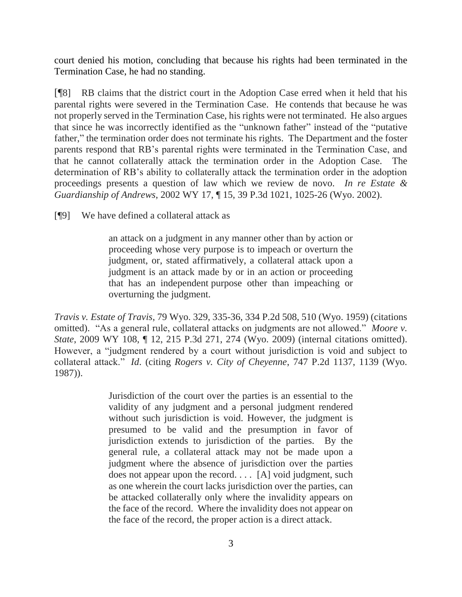court denied his motion, concluding that because his rights had been terminated in the Termination Case, he had no standing.

[¶8] RB claims that the district court in the Adoption Case erred when it held that his parental rights were severed in the Termination Case. He contends that because he was not properly served in the Termination Case, his rights were not terminated. He also argues that since he was incorrectly identified as the "unknown father" instead of the "putative father," the termination order does not terminate his rights. The Department and the foster parents respond that RB's parental rights were terminated in the Termination Case, and that he cannot collaterally attack the termination order in the Adoption Case. The determination of RB's ability to collaterally attack the termination order in the adoption proceedings presents a question of law which we review de novo. *In re Estate & Guardianship of Andrews*, 2002 WY 17, ¶ 15, 39 P.3d 1021, 1025-26 (Wyo. 2002).

[¶9] We have defined a collateral attack as

an attack on a judgment in any manner other than by action or proceeding whose very purpose is to impeach or overturn the judgment, or, stated affirmatively, a collateral attack upon a judgment is an attack made by or in an action or proceeding that has an independent purpose other than impeaching or overturning the judgment.

*Travis v. Estate of Travis*, 79 Wyo. 329, 335-36, 334 P.2d 508, 510 (Wyo. 1959) (citations omitted). "As a general rule, collateral attacks on judgments are not allowed." *Moore v. State*, 2009 WY 108, ¶ 12, 215 P.3d 271, 274 (Wyo. 2009) (internal citations omitted). However, a "judgment rendered by a court without jurisdiction is void and subject to collateral attack." *Id*. (citing *Rogers v. City of Cheyenne*, 747 P.2d 1137, 1139 (Wyo. 1987)).

> Jurisdiction of the court over the parties is an essential to the validity of any judgment and a personal judgment rendered without such jurisdiction is void. However, the judgment is presumed to be valid and the presumption in favor of jurisdiction extends to jurisdiction of the parties. By the general rule, a collateral attack may not be made upon a judgment where the absence of jurisdiction over the parties does not appear upon the record. . . . [A] void judgment, such as one wherein the court lacks jurisdiction over the parties, can be attacked collaterally only where the invalidity appears on the face of the record. Where the invalidity does not appear on the face of the record, the proper action is a direct attack.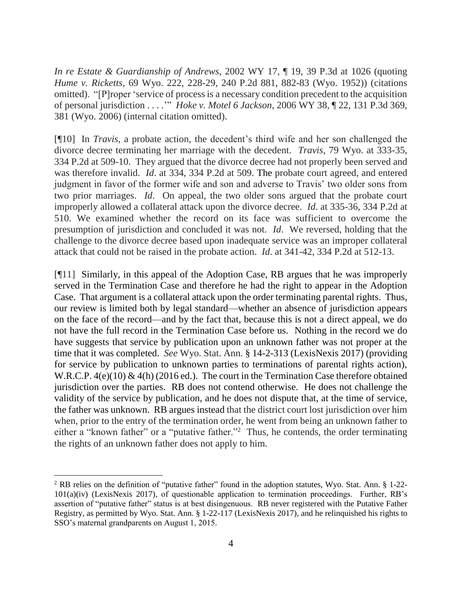*In re Estate & Guardianship of Andrews*, 2002 WY 17, ¶ 19, 39 P.3d at 1026 (quoting *Hume v. Ricketts*, 69 Wyo. 222, 228-29, 240 P.2d 881, 882-83 (Wyo. 1952)) (citations omitted). "[P]roper 'service of process is a necessary condition precedent to the acquisition of personal jurisdiction . . . .'" *Hoke v. Motel 6 Jackson*, 2006 WY 38, ¶ 22, 131 P.3d 369, 381 (Wyo. 2006) (internal citation omitted).

[¶10] In *Travis*, a probate action, the decedent's third wife and her son challenged the divorce decree terminating her marriage with the decedent. *Travis*, 79 Wyo. at 333-35, 334 P.2d at 509-10. They argued that the divorce decree had not properly been served and was therefore invalid. *Id*. at 334, 334 P.2d at 509. The probate court agreed, and entered judgment in favor of the former wife and son and adverse to Travis' two older sons from two prior marriages. *Id*. On appeal, the two older sons argued that the probate court improperly allowed a collateral attack upon the divorce decree. *Id*. at 335-36, 334 P.2d at 510. We examined whether the record on its face was sufficient to overcome the presumption of jurisdiction and concluded it was not. *Id*. We reversed, holding that the challenge to the divorce decree based upon inadequate service was an improper collateral attack that could not be raised in the probate action. *Id*. at 341-42, 334 P.2d at 512-13.

[¶11] Similarly, in this appeal of the Adoption Case, RB argues that he was improperly served in the Termination Case and therefore he had the right to appear in the Adoption Case. That argument is a collateral attack upon the order terminating parental rights. Thus, our review is limited both by legal standard—whether an absence of jurisdiction appears on the face of the record—and by the fact that, because this is not a direct appeal, we do not have the full record in the Termination Case before us. Nothing in the record we do have suggests that service by publication upon an unknown father was not proper at the time that it was completed. *See* Wyo. Stat. Ann. § 14-2-313 (LexisNexis 2017) (providing for service by publication to unknown parties to terminations of parental rights action), W.R.C.P. 4(e)(10) & 4(h) (2016 ed.). The court in the Termination Case therefore obtained jurisdiction over the parties. RB does not contend otherwise. He does not challenge the validity of the service by publication, and he does not dispute that, at the time of service, the father was unknown. RB argues instead that the district court lost jurisdiction over him when, prior to the entry of the termination order, he went from being an unknown father to either a "known father" or a "putative father."<sup>2</sup> Thus, he contends, the order terminating the rights of an unknown father does not apply to him.

 $\overline{\phantom{a}}$ 

<sup>2</sup> RB relies on the definition of "putative father" found in the adoption statutes, Wyo. Stat. Ann. § 1-22- 101(a)(iv) (LexisNexis 2017), of questionable application to termination proceedings. Further, RB's assertion of "putative father" status is at best disingenuous. RB never registered with the Putative Father Registry, as permitted by Wyo. Stat. Ann. § 1-22-117 (LexisNexis 2017), and he relinquished his rights to SSO's maternal grandparents on August 1, 2015.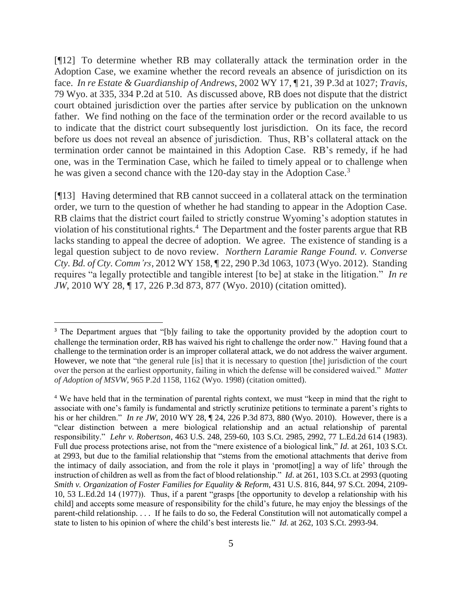[¶12] To determine whether RB may collaterally attack the termination order in the Adoption Case, we examine whether the record reveals an absence of jurisdiction on its face. *In re Estate & Guardianship of Andrews*, 2002 WY 17, ¶ 21, 39 P.3d at 1027; *Travis*, 79 Wyo. at 335, 334 P.2d at 510. As discussed above, RB does not dispute that the district court obtained jurisdiction over the parties after service by publication on the unknown father. We find nothing on the face of the termination order or the record available to us to indicate that the district court subsequently lost jurisdiction. On its face, the record before us does not reveal an absence of jurisdiction. Thus, RB's collateral attack on the termination order cannot be maintained in this Adoption Case. RB's remedy, if he had one, was in the Termination Case, which he failed to timely appeal or to challenge when he was given a second chance with the 120-day stay in the Adoption Case.<sup>3</sup>

[¶13] Having determined that RB cannot succeed in a collateral attack on the termination order, we turn to the question of whether he had standing to appear in the Adoption Case. RB claims that the district court failed to strictly construe Wyoming's adoption statutes in violation of his constitutional rights.<sup>4</sup> The Department and the foster parents argue that RB lacks standing to appeal the decree of adoption. We agree. The existence of standing is a legal question subject to de novo review. *Northern Laramie Range Found. v. Converse Cty. Bd. of Cty. Comm'rs*, 2012 WY 158, ¶ 22, 290 P.3d 1063, 1073 (Wyo. 2012). Standing requires "a legally protectible and tangible interest [to be] at stake in the litigation." *In re JW*, 2010 WY 28, ¶ 17, 226 P.3d 873, 877 (Wyo. 2010) (citation omitted).

l

<sup>&</sup>lt;sup>3</sup> The Department argues that "[b]y failing to take the opportunity provided by the adoption court to challenge the termination order, RB has waived his right to challenge the order now." Having found that a challenge to the termination order is an improper collateral attack, we do not address the waiver argument. However, we note that "the general rule [is] that it is necessary to question [the] jurisdiction of the court over the person at the earliest opportunity, failing in which the defense will be considered waived." *Matter of Adoption of MSVW*, 965 P.2d 1158, 1162 (Wyo. 1998) (citation omitted).

<sup>4</sup> We have held that in the termination of parental rights context, we must "keep in mind that the right to associate with one's family is fundamental and strictly scrutinize petitions to terminate a parent's rights to his or her children." *In re JW*, 2010 WY 28, ¶ 24, 226 P.3d 873, 880 (Wyo. 2010). However, there is a "clear distinction between a mere biological relationship and an actual relationship of parental responsibility." *Lehr v. Robertson*, 463 U.S. 248, 259-60, 103 S.Ct. 2985, 2992, 77 L.Ed.2d 614 (1983). Full due process protections arise, not from the "mere existence of a biological link," *Id*. at 261, 103 S.Ct. at 2993, but due to the familial relationship that "stems from the emotional attachments that derive from the intimacy of daily association, and from the role it plays in 'promot[ing] a way of life' through the instruction of children as well as from the fact of blood relationship." *Id*. at 261, 103 S.Ct. at 2993 (quoting *Smith v. Organization of Foster Families for Equality & Reform*, 431 U.S. 816, 844, 97 S.Ct. 2094, 2109- 10, 53 L.Ed.2d 14 (1977)). Thus, if a parent "grasps [the opportunity to develop a relationship with his child] and accepts some measure of responsibility for the child's future, he may enjoy the blessings of the parent-child relationship. . . . If he fails to do so, the Federal Constitution will not automatically compel a state to listen to his opinion of where the child's best interests lie." *Id*. at 262, 103 S.Ct. 2993-94.